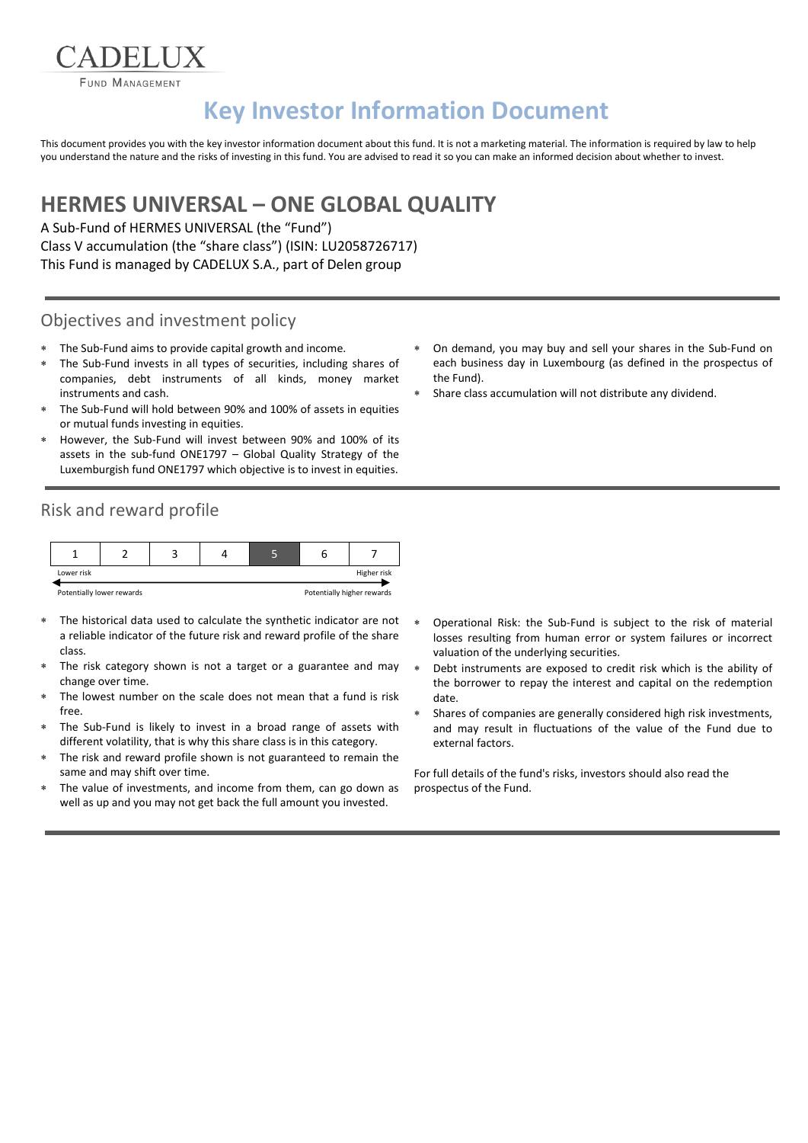FUND MANAGEMENT

ADELIIX

# **Key Investor Information Document**

This document provides you with the key investor information document about this fund. It is not a marketing material. The information is required by law to help you understand the nature and the risks of investing in this fund. You are advised to read it so you can make an informed decision about whether to invest.

## **HERMES UNIVERSAL – ONE GLOBAL QUALITY**

A Sub-Fund of HERMES UNIVERSAL (the "Fund") Class V accumulation (the "share class") (ISIN: LU2058726717) This Fund is managed by CADELUX S.A., part of Delen group

#### Objectives and investment policy

- The Sub-Fund aims to provide capital growth and income.
- The Sub-Fund invests in all types of securities, including shares of companies, debt instruments of all kinds, money market instruments and cash.
- The Sub-Fund will hold between 90% and 100% of assets in equities or mutual funds investing in equities.
- However, the Sub-Fund will invest between 90% and 100% of its assets in the sub-fund ONE1797 – Global Quality Strategy of the Luxemburgish fund ONE1797 which objective is to invest in equities.

### Risk and reward profile



- 
- The historical data used to calculate the synthetic indicator are not a reliable indicator of the future risk and reward profile of the share class.
- The risk category shown is not a target or a guarantee and may change over time.
- The lowest number on the scale does not mean that a fund is risk free.
- The Sub-Fund is likely to invest in a broad range of assets with different volatility, that is why this share class is in this category.
- The risk and reward profile shown is not guaranteed to remain the same and may shift over time.
- The value of investments, and income from them, can go down as well as up and you may not get back the full amount you invested.
- On demand, you may buy and sell your shares in the Sub-Fund on each business day in Luxembourg (as defined in the prospectus of the Fund).
- Share class accumulation will not distribute any dividend.

- Operational Risk: the Sub-Fund is subject to the risk of material losses resulting from human error or system failures or incorrect valuation of the underlying securities.
- Debt instruments are exposed to credit risk which is the ability of the borrower to repay the interest and capital on the redemption date.
- Shares of companies are generally considered high risk investments, and may result in fluctuations of the value of the Fund due to external factors.

For full details of the fund's risks, investors should also read the prospectus of the Fund.